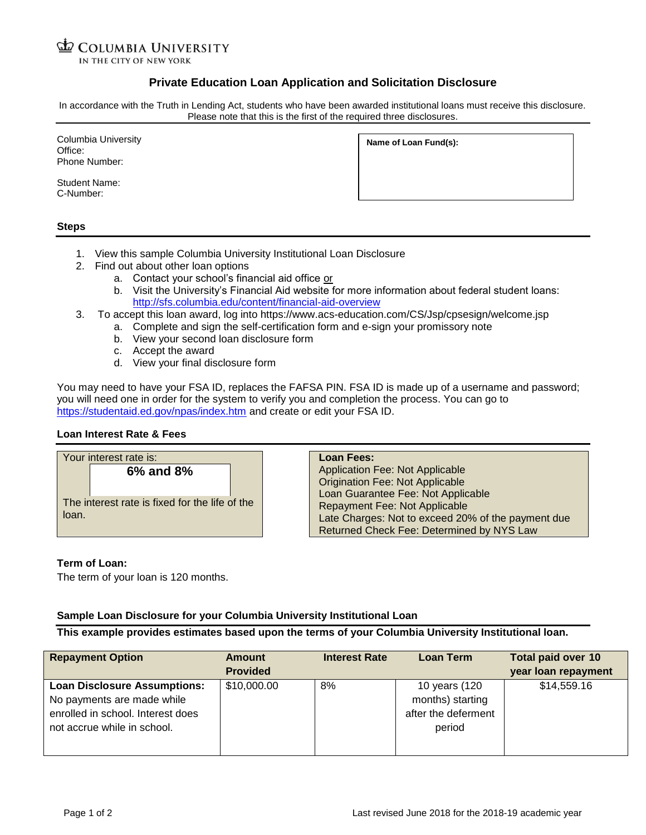#### **ED COLUMBIA UNIVERSITY** IN THE CITY OF NEW YORK

# **Private Education Loan Application and Solicitation Disclosure**

In accordance with the Truth in Lending Act, students who have been awarded institutional loans must receive this disclosure. Please note that this is the first of the required three disclosures.

Columbia University Office: Phone Number:

Student Name: C-Number:

|  | Name of Loan Fund(s): |
|--|-----------------------|
|  |                       |

#### **Steps**

- 1. View this sample Columbia University Institutional Loan Disclosure
- 2. Find out about other loan options
	- a. Contact your school's financial aid office or
	- b. Visit the University's Financial Aid website for more information about federal student loans: <http://sfs.columbia.edu/content/financial-aid-overview>
- 3. To accept this loan award, log into https://www.acs-education.com/CS/Jsp/cpsesign/welcome.jsp
	- a. Complete and sign the self-certification form and e-sign your promissory note
		- b. View your second loan disclosure form
		- c. Accept the award
		- d. View your final disclosure form

You may need to have your FSA ID, replaces the FAFSA PIN. FSA ID is made up of a username and password; you will need one in order for the system to verify you and completion the process. You can go to <https://studentaid.ed.gov/npas/index.htm> and create or edit your FSA ID.

## **Loan Interest Rate & Fees**

| Your interest rate is:                         | <b>Loan Fees:</b>                                  |
|------------------------------------------------|----------------------------------------------------|
| 6% and 8%                                      | <b>Application Fee: Not Applicable</b>             |
|                                                | <b>Origination Fee: Not Applicable</b>             |
|                                                | Loan Guarantee Fee: Not Applicable                 |
| The interest rate is fixed for the life of the | Repayment Fee: Not Applicable                      |
| loan.                                          | Late Charges: Not to exceed 20% of the payment due |
|                                                | Returned Check Fee: Determined by NYS Law          |

## **Term of Loan:**

The term of your loan is 120 months.

## **Sample Loan Disclosure for your Columbia University Institutional Loan**

**This example provides estimates based upon the terms of your Columbia University Institutional loan.**

| <b>Repayment Option</b>                                                                                                               | Amount<br><b>Provided</b> | <b>Interest Rate</b> | <b>Loan Term</b>                                                   | <b>Total paid over 10</b><br>year loan repayment |
|---------------------------------------------------------------------------------------------------------------------------------------|---------------------------|----------------------|--------------------------------------------------------------------|--------------------------------------------------|
| <b>Loan Disclosure Assumptions:</b><br>No payments are made while<br>enrolled in school. Interest does<br>not accrue while in school. | \$10,000.00               | 8%                   | 10 years (120<br>months) starting<br>after the deferment<br>period | \$14,559.16                                      |